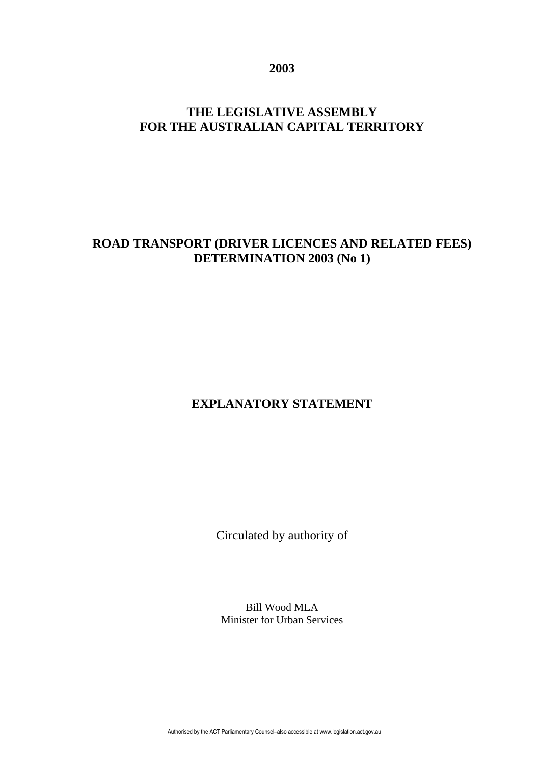**2003** 

# **THE LEGISLATIVE ASSEMBLY FOR THE AUSTRALIAN CAPITAL TERRITORY**

### **ROAD TRANSPORT (DRIVER LICENCES AND RELATED FEES) DETERMINATION 2003 (No 1)**

# **EXPLANATORY STATEMENT**

Circulated by authority of

Bill Wood MLA Minister for Urban Services